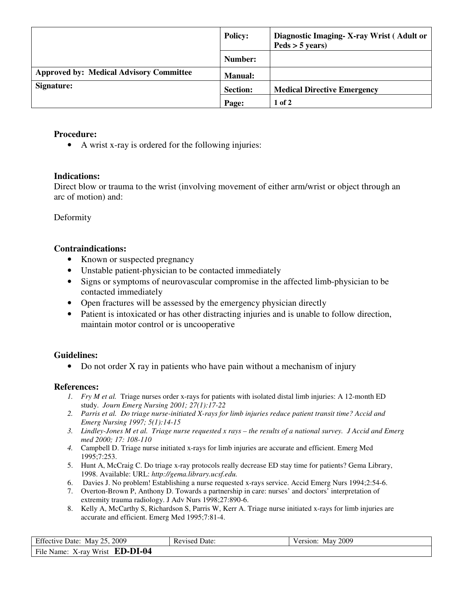|                                                | <b>Policy:</b>  | Diagnostic Imaging-X-ray Wrist (Adult or<br>$Peds > 5 \text{ years}$ |
|------------------------------------------------|-----------------|----------------------------------------------------------------------|
|                                                | Number:         |                                                                      |
| <b>Approved by: Medical Advisory Committee</b> | <b>Manual:</b>  |                                                                      |
| Signature:                                     | <b>Section:</b> | <b>Medical Directive Emergency</b>                                   |
|                                                | Page:           | $1$ of $2$                                                           |

## **Procedure:**

• A wrist x-ray is ordered for the following injuries:

## **Indications:**

Direct blow or trauma to the wrist (involving movement of either arm/wrist or object through an arc of motion) and:

Deformity

## **Contraindications:**

- Known or suspected pregnancy
- Unstable patient-physician to be contacted immediately
- Signs or symptoms of neurovascular compromise in the affected limb-physician to be contacted immediately
- Open fractures will be assessed by the emergency physician directly
- Patient is intoxicated or has other distracting injuries and is unable to follow direction, maintain motor control or is uncooperative

# **Guidelines:**

• Do not order X ray in patients who have pain without a mechanism of injury

### **References:**

- *1. Fry M et al.* Triage nurses order x-rays for patients with isolated distal limb injuries: A 12-month ED study. *Journ Emerg Nursing 2001; 27(1):17-22*
- *2. Parris et al. Do triage nurse-initiated X-rays for limb injuries reduce patient transit time? Accid and Emerg Nursing 1997; 5(1):14-15*
- *3. Lindley-Jones M et al. Triage nurse requested x rays the results of a national survey. J Accid and Emerg med 2000; 17: 108-110*
- *4.* Campbell D. Triage nurse initiated x-rays for limb injuries are accurate and efficient. Emerg Med 1995;7:253.
- 5. Hunt A, McCraig C. Do triage x-ray protocols really decrease ED stay time for patients? Gema Library, 1998. Available: URL: *http://gema.library.ucsf.edu.*
- 6. Davies J. No problem! Establishing a nurse requested x-rays service. Accid Emerg Nurs 1994;2:54-6.
- 7. Overton-Brown P, Anthony D. Towards a partnership in care: nurses' and doctors' interpretation of extremity trauma radiology. J Adv Nurs 1998;27:890-6.
- 8. Kelly A, McCarthy S, Richardson S, Parris W, Kerr A. Triage nurse initiated x-rays for limb injuries are accurate and efficient. Emerg Med 1995;7:81-4.

| Effective Date: May 25, 2009           | <b>Revised Date:</b> | Version: May 2009 |
|----------------------------------------|----------------------|-------------------|
| File Name: X-ray Wrist <b>ED-DI-04</b> |                      |                   |